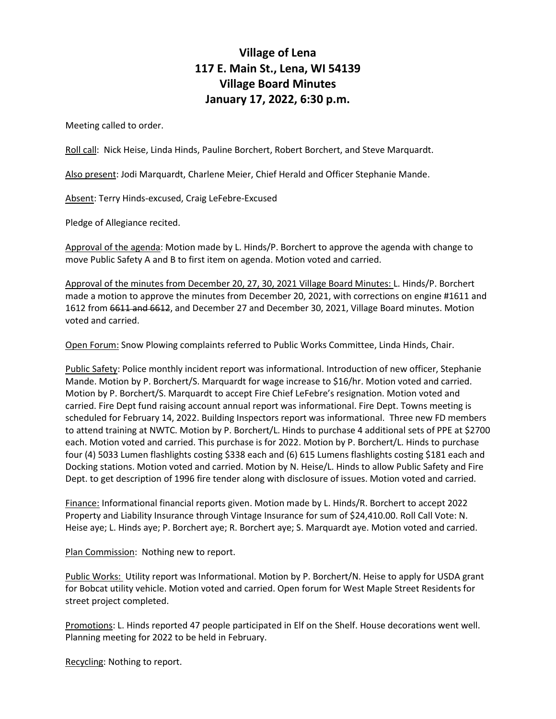## **Village of Lena 117 E. Main St., Lena, WI 54139 Village Board Minutes January 17, 2022, 6:30 p.m.**

Meeting called to order.

Roll call: Nick Heise, Linda Hinds, Pauline Borchert, Robert Borchert, and Steve Marquardt.

Also present: Jodi Marquardt, Charlene Meier, Chief Herald and Officer Stephanie Mande.

Absent: Terry Hinds-excused, Craig LeFebre-Excused

Pledge of Allegiance recited.

Approval of the agenda: Motion made by L. Hinds/P. Borchert to approve the agenda with change to move Public Safety A and B to first item on agenda. Motion voted and carried.

Approval of the minutes from December 20, 27, 30, 2021 Village Board Minutes: L. Hinds/P. Borchert made a motion to approve the minutes from December 20, 2021, with corrections on engine #1611 and 1612 from 6611 and 6612, and December 27 and December 30, 2021, Village Board minutes. Motion voted and carried.

Open Forum: Snow Plowing complaints referred to Public Works Committee, Linda Hinds, Chair.

Public Safety: Police monthly incident report was informational. Introduction of new officer, Stephanie Mande. Motion by P. Borchert/S. Marquardt for wage increase to \$16/hr. Motion voted and carried. Motion by P. Borchert/S. Marquardt to accept Fire Chief LeFebre's resignation. Motion voted and carried. Fire Dept fund raising account annual report was informational. Fire Dept. Towns meeting is scheduled for February 14, 2022. Building Inspectors report was informational. Three new FD members to attend training at NWTC. Motion by P. Borchert/L. Hinds to purchase 4 additional sets of PPE at \$2700 each. Motion voted and carried. This purchase is for 2022. Motion by P. Borchert/L. Hinds to purchase four (4) 5033 Lumen flashlights costing \$338 each and (6) 615 Lumens flashlights costing \$181 each and Docking stations. Motion voted and carried. Motion by N. Heise/L. Hinds to allow Public Safety and Fire Dept. to get description of 1996 fire tender along with disclosure of issues. Motion voted and carried.

Finance: Informational financial reports given. Motion made by L. Hinds/R. Borchert to accept 2022 Property and Liability Insurance through Vintage Insurance for sum of \$24,410.00. Roll Call Vote: N. Heise aye; L. Hinds aye; P. Borchert aye; R. Borchert aye; S. Marquardt aye. Motion voted and carried.

Plan Commission: Nothing new to report.

Public Works: Utility report was Informational. Motion by P. Borchert/N. Heise to apply for USDA grant for Bobcat utility vehicle. Motion voted and carried. Open forum for West Maple Street Residents for street project completed.

Promotions: L. Hinds reported 47 people participated in Elf on the Shelf. House decorations went well. Planning meeting for 2022 to be held in February.

Recycling: Nothing to report.